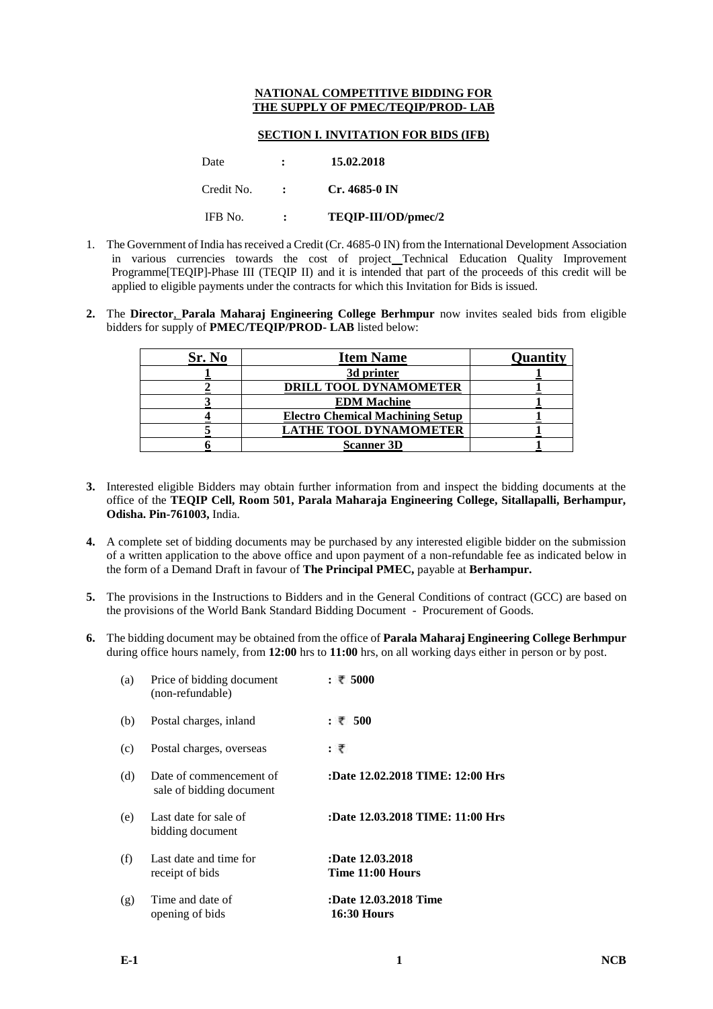## **NATIONAL COMPETITIVE BIDDING FOR THE SUPPLY OF PMEC/TEQIP/PROD- LAB**

## **SECTION I. INVITATION FOR BIDS (IFB)**

| Date       | $\mathbf{r}$      | 15.02.2018          |
|------------|-------------------|---------------------|
| Credit No. | $\sim$ 100 $\sim$ | Cr. 4685-0 IN       |
| IFB No.    |                   | TEQIP-III/OD/pmec/2 |

- 1. The Government of India has received a Credit (Cr. 4685-0 IN) from the International Development Association in various currencies towards the cost of project Technical Education Quality Improvement Programme[TEQIP]-Phase III (TEQIP II) and it is intended that part of the proceeds of this credit will be applied to eligible payments under the contracts for which this Invitation for Bids is issued.
- **2.** The **Director**, **Parala Maharaj Engineering College Berhmpur** now invites sealed bids from eligible bidders for supply of **PMEC/TEQIP/PROD- LAB** listed below:

| Sr. No | <b>Item Name</b>                        | <b>Quantity</b> |
|--------|-----------------------------------------|-----------------|
|        | 3d printer                              |                 |
|        | DRILL TOOL DYNAMOMETER                  |                 |
|        | <b>EDM</b> Machine                      |                 |
|        | <b>Electro Chemical Machining Setup</b> |                 |
|        | <b>LATHE TOOL DYNAMOMETER</b>           |                 |
|        | <b>Scanner 3D</b>                       |                 |

- **3.** Interested eligible Bidders may obtain further information from and inspect the bidding documents at the office of the **TEQIP Cell, Room 501, Parala Maharaja Engineering College, Sitallapalli, Berhampur, Odisha. Pin-761003,** India.
- **4.** A complete set of bidding documents may be purchased by any interested eligible bidder on the submission of a written application to the above office and upon payment of a non-refundable fee as indicated below in the form of a Demand Draft in favour of **The Principal PMEC,** payable at **Berhampur.**
- **5.** The provisions in the Instructions to Bidders and in the General Conditions of contract (GCC) are based on the provisions of the World Bank Standard Bidding Document - Procurement of Goods.
- **6.** The bidding document may be obtained from the office of **Parala Maharaj Engineering College Berhmpur**  during office hours namely, from **12:00** hrs to **11:00** hrs, on all working days either in person or by post.

| (a) | Price of bidding document<br>(non-refundable)       | : ₹5000                                     |
|-----|-----------------------------------------------------|---------------------------------------------|
| (b) | Postal charges, inland                              | : ₹ 500                                     |
| (c) | Postal charges, overseas                            | : ₹                                         |
| (d) | Date of commencement of<br>sale of bidding document | :Date 12.02.2018 TIME: 12:00 Hrs            |
| (e) | Last date for sale of<br>bidding document           | :Date 12.03.2018 TIME: 11:00 Hrs            |
| (f) | Last date and time for<br>receipt of bids           | :Date 12.03.2018<br>Time 11:00 Hours        |
| (g) | Time and date of<br>opening of bids                 | :Date 12.03.2018 Time<br><b>16:30 Hours</b> |